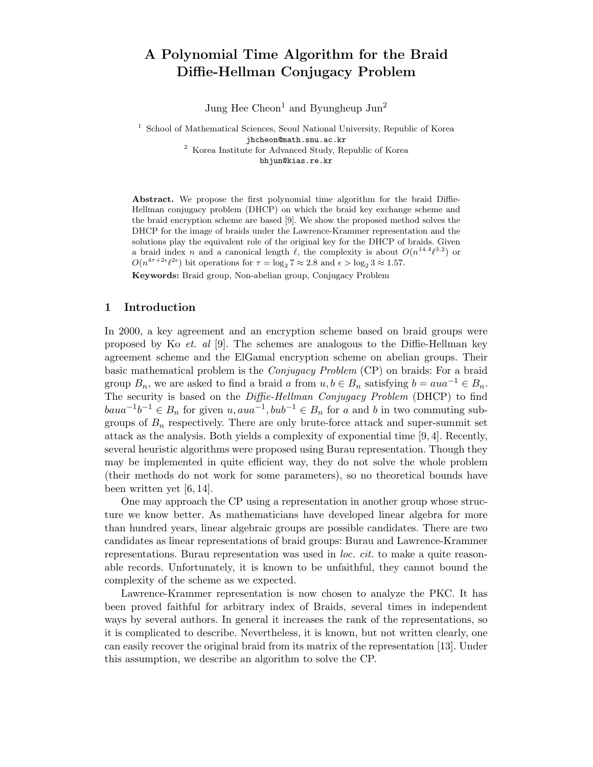# A Polynomial Time Algorithm for the Braid Diffie-Hellman Conjugacy Problem

Jung Hee Cheon<sup>1</sup> and Byungheup Jun<sup>2</sup>

<sup>1</sup> School of Mathematical Sciences, Seoul National University, Republic of Korea jhcheon@math.snu.ac.kr <sup>2</sup> Korea Institute for Advanced Study, Republic of Korea bhjun@kias.re.kr

Abstract. We propose the first polynomial time algorithm for the braid Diffie-Hellman conjugacy problem (DHCP) on which the braid key exchange scheme and the braid encryption scheme are based [9]. We show the proposed method solves the DHCP for the image of braids under the Lawrence-Krammer representation and the solutions play the equivalent role of the original key for the DHCP of braids. Given a braid index n and a canonical length  $\ell$ , the complexity is about  $O(n^{14.4}\ell^{3.2})$  or  $O(n^{4\tau+2\epsilon}\ell^{2\epsilon})$  bit operations for  $\tau = \log_2 7 \approx 2.8$  and  $\epsilon > \log_2 3 \approx 1.57$ .

Keywords: Braid group, Non-abelian group, Conjugacy Problem

## 1 Introduction

In 2000, a key agreement and an encryption scheme based on braid groups were proposed by Ko *et. al* [9]. The schemes are analogous to the Diffie-Hellman key agreement scheme and the ElGamal encryption scheme on abelian groups. Their basic mathematical problem is the Conjugacy Problem (CP) on braids: For a braid group  $B_n$ , we are asked to find a braid a from  $u, b \in B_n$  satisfying  $b = aua^{-1} \in B_n$ . The security is based on the Diffie-Hellman Conjugacy Problem (DHCP) to find  $baua^{-1}b^{-1}$  ∈  $B_n$  for given  $u,aua^{-1}, bub^{-1}$  ∈  $B_n$  for a and b in two commuting subgroups of  $B_n$  respectively. There are only brute-force attack and super-summit set attack as the analysis. Both yields a complexity of exponential time [9, 4]. Recently, several heuristic algorithms were proposed using Burau representation. Though they may be implemented in quite efficient way, they do not solve the whole problem (their methods do not work for some parameters), so no theoretical bounds have been written yet [6, 14].

One may approach the CP using a representation in another group whose structure we know better. As mathematicians have developed linear algebra for more than hundred years, linear algebraic groups are possible candidates. There are two candidates as linear representations of braid groups: Burau and Lawrence-Krammer representations. Burau representation was used in *loc. cit.* to make a quite reasonable records. Unfortunately, it is known to be unfaithful, they cannot bound the complexity of the scheme as we expected.

Lawrence-Krammer representation is now chosen to analyze the PKC. It has been proved faithful for arbitrary index of Braids, several times in independent ways by several authors. In general it increases the rank of the representations, so it is complicated to describe. Nevertheless, it is known, but not written clearly, one can easily recover the original braid from its matrix of the representation [13]. Under this assumption, we describe an algorithm to solve the CP.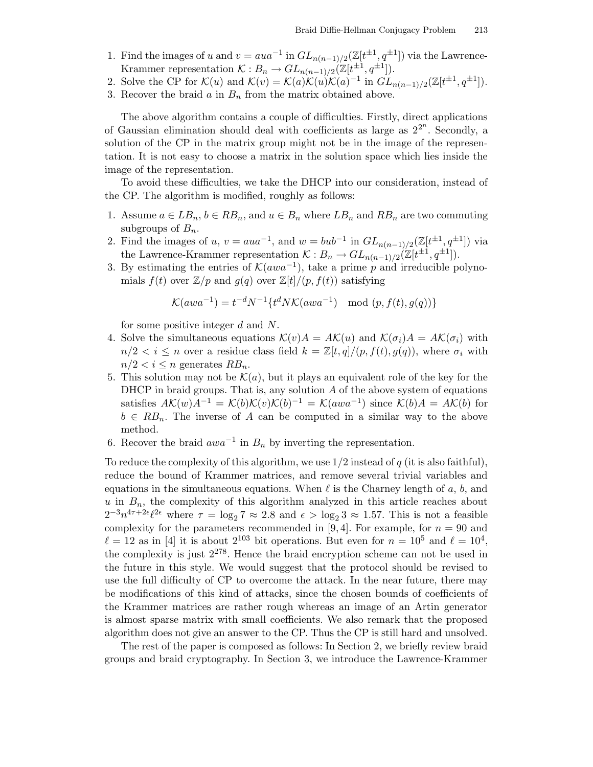1. Find the images of u and  $v = aua^{-1}$  in  $GL_{n(n-1)/2}(\mathbb{Z}[t^{\pm 1}, q^{\pm 1}])$  via the Lawrence-Krammer representation  $\mathcal{K}: B_n \to GL_{n(n-1)/2}(\mathbb{Z}[t^{\pm 1}, q^{\pm 1}]).$ 

2. Solve the CP for  $\mathcal{K}(u)$  and  $\mathcal{K}(v) = \mathcal{K}(a)\mathcal{K}(u)\mathcal{K}(a)^{-1}$  in  $GL_{n(n-1)/2}(\mathbb{Z}[t^{\pm 1}, q^{\pm 1}]).$ 

3. Recover the braid  $a$  in  $B_n$  from the matrix obtained above.

The above algorithm contains a couple of difficulties. Firstly, direct applications of Gaussian elimination should deal with coefficients as large as  $2^{2^n}$ . Secondly, a solution of the CP in the matrix group might not be in the image of the representation. It is not easy to choose a matrix in the solution space which lies inside the image of the representation.

To avoid these difficulties, we take the DHCP into our consideration, instead of the CP. The algorithm is modified, roughly as follows:

- 1. Assume  $a \in LB_n$ ,  $b \in RB_n$ , and  $u \in B_n$  where  $LB_n$  and  $RB_n$  are two commuting subgroups of  $B_n$ .
- 2. Find the images of u,  $v = aua^{-1}$ , and  $w = bub^{-1}$  in  $GL_{n(n-1)/2}(\mathbb{Z}[t^{\pm 1}, q^{\pm 1}])$  via the Lawrence-Krammer representation  $\mathcal{K}: B_n \to GL_{n(n-1)/2}(\mathbb{Z}[t^{\pm 1}, q^{\pm 1}]).$
- 3. By estimating the entries of  $\mathcal{K}(awa^{-1})$ , take a prime p and irreducible polynomials  $f(t)$  over  $\mathbb{Z}/p$  and  $g(q)$  over  $\mathbb{Z}[t]/(p, f(t))$  satisfying

$$
\mathcal{K}(awa^{-1}) = t^{-d} N^{-1} \{ t^d N \mathcal{K}(awa^{-1}) \mod (p, f(t), g(q)) \}
$$

for some positive integer d and N.

- 4. Solve the simultaneous equations  $\mathcal{K}(v)A = AK(u)$  and  $\mathcal{K}(\sigma_i)A = AK(\sigma_i)$  with  $n/2 < i \leq n$  over a residue class field  $k = \mathbb{Z}[t, q]/(p, f(t), g(q))$ , where  $\sigma_i$  with  $n/2 < i \leq n$  generates  $RB_n$ .
- 5. This solution may not be  $\mathcal{K}(a)$ , but it plays an equivalent role of the key for the DHCP in braid groups. That is, any solution  $A$  of the above system of equations satisfies  $A\mathcal{K}(w)A^{-1} = \mathcal{K}(b)\mathcal{K}(v)\mathcal{K}(b)^{-1} = \mathcal{K}(awa^{-1})$  since  $\mathcal{K}(b)A = A\mathcal{K}(b)$  for  $b \in RB_n$ . The inverse of A can be computed in a similar way to the above method.
- 6. Recover the braid  $awa^{-1}$  in  $B_n$  by inverting the representation.

To reduce the complexity of this algorithm, we use  $1/2$  instead of q (it is also faithful), reduce the bound of Krammer matrices, and remove several trivial variables and equations in the simultaneous equations. When  $\ell$  is the Charney length of a, b, and  $u$  in  $B_n$ , the complexity of this algorithm analyzed in this article reaches about  $2^{-3}n^{4\tau+2\epsilon}\ell^{2\epsilon}$  where  $\tau = \log_2 7 \approx 2.8$  and  $\epsilon > \log_2 3 \approx 1.57$ . This is not a feasible complexity for the parameters recommended in [9, 4]. For example, for  $n = 90$  and  $\ell = 12$  as in [4] it is about  $2^{103}$  bit operations. But even for  $n = 10^5$  and  $\ell = 10^4$ , the complexity is just  $2^{278}$ . Hence the braid encryption scheme can not be used in the future in this style. We would suggest that the protocol should be revised to use the full difficulty of CP to overcome the attack. In the near future, there may be modifications of this kind of attacks, since the chosen bounds of coefficients of the Krammer matrices are rather rough whereas an image of an Artin generator is almost sparse matrix with small coefficients. We also remark that the proposed algorithm does not give an answer to the CP. Thus the CP is still hard and unsolved.

The rest of the paper is composed as follows: In Section 2, we briefly review braid groups and braid cryptography. In Section 3, we introduce the Lawrence-Krammer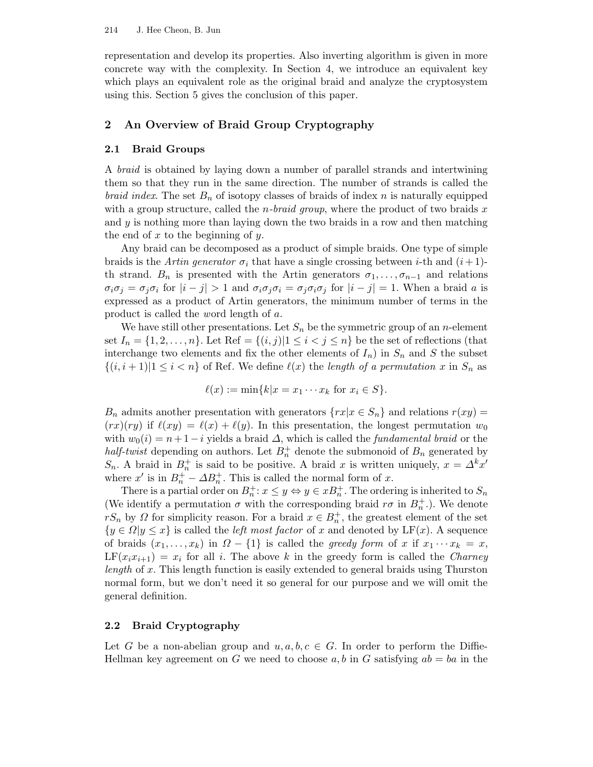representation and develop its properties. Also inverting algorithm is given in more concrete way with the complexity. In Section 4, we introduce an equivalent key which plays an equivalent role as the original braid and analyze the cryptosystem using this. Section 5 gives the conclusion of this paper.

# 2 An Overview of Braid Group Cryptography

## 2.1 Braid Groups

A braid is obtained by laying down a number of parallel strands and intertwining them so that they run in the same direction. The number of strands is called the *braid index.* The set  $B_n$  of isotopy classes of braids of index n is naturally equipped with a group structure, called the *n*-braid group, where the product of two braids x and  $y$  is nothing more than laying down the two braids in a row and then matching the end of  $x$  to the beginning of  $y$ .

Any braid can be decomposed as a product of simple braids. One type of simple braids is the Artin generator  $\sigma_i$  that have a single crossing between *i*-th and  $(i+1)$ th strand.  $B_n$  is presented with the Artin generators  $\sigma_1, \ldots, \sigma_{n-1}$  and relations  $\sigma_i \sigma_j = \sigma_j \sigma_i$  for  $|i - j| > 1$  and  $\sigma_i \sigma_j \sigma_i = \sigma_j \sigma_i \sigma_j$  for  $|i - j| = 1$ . When a braid a is expressed as a product of Artin generators, the minimum number of terms in the product is called the word length of a.

We have still other presentations. Let  $S_n$  be the symmetric group of an *n*-element set  $I_n = \{1, 2, \ldots, n\}$ . Let Ref =  $\{(i, j)|1 \leq i < j \leq n\}$  be the set of reflections (that interchange two elements and fix the other elements of  $I_n$ ) in  $S_n$  and S the subset  $\{(i, i + 1)|1 \leq i < n\}$  of Ref. We define  $\ell(x)$  the length of a permutation x in  $S_n$  as

$$
\ell(x) := \min\{k|x = x_1 \cdots x_k \text{ for } x_i \in S\}.
$$

 $B_n$  admits another presentation with generators  $\{rx|x \in S_n\}$  and relations  $r(xy) =$  $(rx)(ry)$  if  $\ell(xy) = \ell(x) + \ell(y)$ . In this presentation, the longest permutation  $w_0$ with  $w_0(i) = n+1-i$  yields a braid  $\Delta$ , which is called the *fundamental braid* or the half-twist depending on authors. Let  $B_n^+$  denote the submonoid of  $B_n$  generated by S<sub>n</sub>. A braid in  $B_n^+$  is said to be positive. A braid x is written uniquely,  $x = \Delta^k x'$ where  $x'$  is in  $B_n^+ - \Delta B_n^+$ . This is called the normal form of x.

There is a partial order on  $B_n^+$ :  $x \leq y \Leftrightarrow y \in xB_n^+$ . The ordering is inherited to  $S_n$ (We identify a permutation  $\sigma$  with the corresponding braid  $r\sigma$  in  $B_n^+$ .). We denote  $rS_n$  by  $\Omega$  for simplicity reason. For a braid  $x \in B_n^+$ , the greatest element of the set  ${y \in \Omega | y \leq x}$  is called the *left most factor* of x and denoted by LF(x). A sequence of braids  $(x_1, \ldots, x_k)$  in  $\Omega - \{1\}$  is called the greedy form of x if  $x_1 \cdots x_k = x$ ,  $LF(x_ix_{i+1}) = x_i$  for all i. The above k in the greedy form is called the *Charney* length of x. This length function is easily extended to general braids using Thurston normal form, but we don't need it so general for our purpose and we will omit the general definition.

## 2.2 Braid Cryptography

Let G be a non-abelian group and  $u, a, b, c \in G$ . In order to perform the Diffie-Hellman key agreement on G we need to choose a, b in G satisfying  $ab = ba$  in the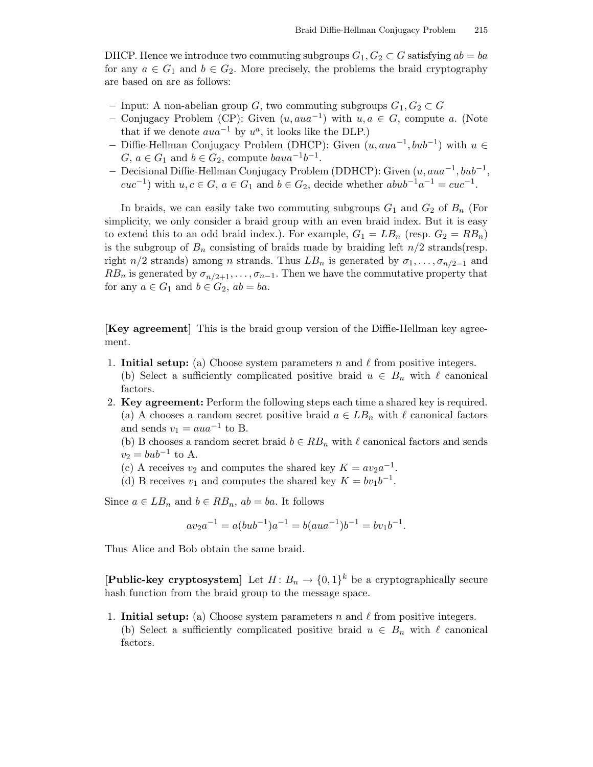DHCP. Hence we introduce two commuting subgroups  $G_1, G_2 \subset G$  satisfying  $ab = ba$ for any  $a \in G_1$  and  $b \in G_2$ . More precisely, the problems the braid cryptography are based on are as follows:

- Input: A non-abelian group G, two commuting subgroups  $G_1, G_2 \subset G$
- Conjugacy Problem (CP): Given  $(u, aua^{-1})$  with  $u, a ∈ G$ , compute a. (Note that if we denote  $aua^{-1}$  by  $u^a$ , it looks like the DLP.)
- Diffie-Hellman Conjugacy Problem (DHCP): Given  $(u, aua^{-1}, bub^{-1})$  with  $u \in$  $G, a \in G_1$  and  $b \in G_2$ , compute  $baua^{-1}b^{-1}$ .
- Decisional Diffie-Hellman Conjugacy Problem (DDHCP): Given  $(u, aua^{-1}, bub^{-1},$  $cuc^{-1}$ ) with  $u, c \in G$ ,  $a \in G_1$  and  $b \in G_2$ , decide whether  $abub^{-1}a^{-1} = cuc^{-1}$ .

In braids, we can easily take two commuting subgroups  $G_1$  and  $G_2$  of  $B_n$  (For simplicity, we only consider a braid group with an even braid index. But it is easy to extend this to an odd braid index.). For example,  $G_1 = LB_n$  (resp.  $G_2 = RB_n$ ) is the subgroup of  $B_n$  consisting of braids made by braiding left  $n/2$  strands(resp. right  $n/2$  strands) among n strands. Thus  $LB_n$  is generated by  $\sigma_1, \ldots, \sigma_{n/2-1}$  and  $RB_n$  is generated by  $\sigma_{n/2+1}, \ldots, \sigma_{n-1}$ . Then we have the commutative property that for any  $a \in G_1$  and  $b \in G_2$ ,  $ab = ba$ .

[Key agreement] This is the braid group version of the Diffie-Hellman key agreement.

- 1. Initial setup: (a) Choose system parameters n and  $\ell$  from positive integers. (b) Select a sufficiently complicated positive braid  $u \in B_n$  with  $\ell$  canonical factors.
- 2. Key agreement: Perform the following steps each time a shared key is required. (a) A chooses a random secret positive braid  $a \in LB_n$  with  $\ell$  canonical factors and sends  $v_1 = aua^{-1}$  to B.
	- (b) B chooses a random secret braid  $b \in RB_n$  with  $\ell$  canonical factors and sends  $v_2 = bub^{-1}$  to A.
	- (c) A receives  $v_2$  and computes the shared key  $K = av_2a^{-1}$ .
	- (d) B receives  $v_1$  and computes the shared key  $K = bv_1b^{-1}$ .

Since  $a \in LB_n$  and  $b \in RB_n$ ,  $ab = ba$ . It follows

$$
av_2a^{-1} = a(bub^{-1})a^{-1} = b(aua^{-1})b^{-1} = bv_1b^{-1}.
$$

Thus Alice and Bob obtain the same braid.

[Public-key cryptosystem] Let  $H: B_n \to \{0,1\}^k$  be a cryptographically secure hash function from the braid group to the message space.

1. Initial setup: (a) Choose system parameters n and  $\ell$  from positive integers. (b) Select a sufficiently complicated positive braid  $u \in B_n$  with  $\ell$  canonical factors.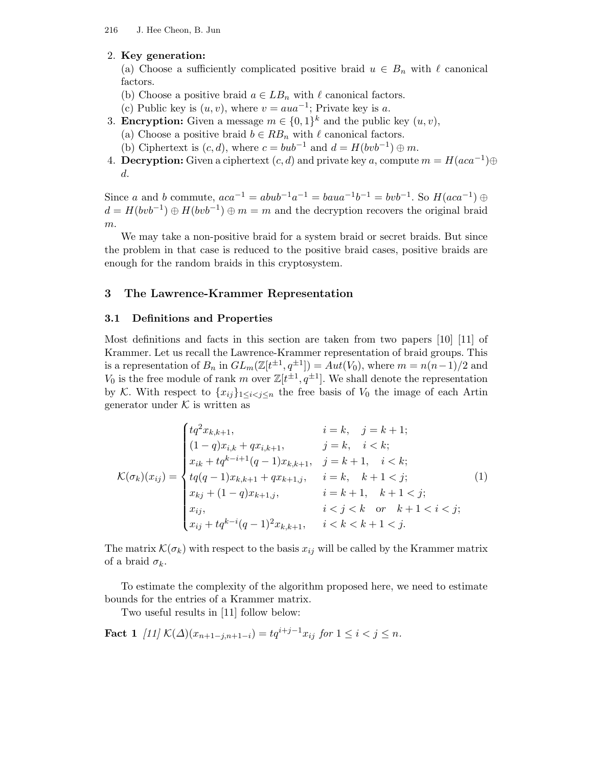## 2. Key generation:

(a) Choose a sufficiently complicated positive braid  $u \in B_n$  with  $\ell$  canonical factors.

- (b) Choose a positive braid  $a \in LB_n$  with  $\ell$  canonical factors.
- (c) Public key is  $(u, v)$ , where  $v = aua^{-1}$ ; Private key is a.
- 3. **Encryption:** Given a message  $m \in \{0,1\}^k$  and the public key  $(u, v)$ ,
	- (a) Choose a positive braid  $b \in RB_n$  with  $\ell$  canonical factors.
	- (b) Ciphertext is  $(c, d)$ , where  $c = bub^{-1}$  and  $d = H(bvb^{-1}) \oplus m$ .
- 4. **Decryption:** Given a ciphertext  $(c, d)$  and private key a, compute  $m = H(aca^{-1})\oplus$ d.

Since a and b commute,  $aca^{-1} = abub^{-1}a^{-1} = baua^{-1}b^{-1} = bvb^{-1}$ . So  $H(aca^{-1}) \oplus$  $d = H(bvb^{-1}) \oplus H(bvb^{-1}) \oplus m = m$  and the decryption recovers the original braid  $m$ .

We may take a non-positive braid for a system braid or secret braids. But since the problem in that case is reduced to the positive braid cases, positive braids are enough for the random braids in this cryptosystem.

## 3 The Lawrence-Krammer Representation

## 3.1 Definitions and Properties

Most definitions and facts in this section are taken from two papers [10] [11] of Krammer. Let us recall the Lawrence-Krammer representation of braid groups. This is a representation of  $B_n$  in  $GL_m(\mathbb{Z}[t^{\pm 1}, q^{\pm 1}]) = Aut(V_0)$ , where  $m = n(n-1)/2$  and  $V_0$  is the free module of rank m over  $\mathbb{Z}[t^{\pm 1}, q^{\pm 1}]$ . We shall denote the representation by K. With respect to  $\{x_{ij}\}_{1\leq i < j \leq n}$  the free basis of  $V_0$  the image of each Artin generator under  $K$  is written as

$$
\mathcal{K}(\sigma_k)(x_{ij}) = \begin{cases} tq^2 x_{k,k+1}, & i = k, \quad j = k+1; \\ (1-q)x_{i,k} + qx_{i,k+1}, & j = k, \quad i < k; \\ x_{ik} + tq^{k-i+1}(q-1)x_{k,k+1}, & j = k+1, \quad i < k; \\ tq(q-1)x_{k,k+1} + qx_{k+1,j}, & i = k, \quad k+1 < j; \\ x_{kj} + (1-q)x_{k+1,j}, & i = k+1, \quad k+1 < j; \\ x_{ij}, & i < j < k \quad \text{or} \quad k+1 < i < j; \\ x_{ij} + tq^{k-i}(q-1)^2 x_{k,k+1}, & i < k < k+1 < j. \end{cases} \tag{1}
$$

The matrix  $\mathcal{K}(\sigma_k)$  with respect to the basis  $x_{ij}$  will be called by the Krammer matrix of a braid  $\sigma_k$ .

To estimate the complexity of the algorithm proposed here, we need to estimate bounds for the entries of a Krammer matrix.

Two useful results in [11] follow below:

Fact 1  $[11] K(\Delta)(x_{n+1-j,n+1-i}) = tq^{i+j-1}x_{ij}$  for  $1 \le i < j \le n$ .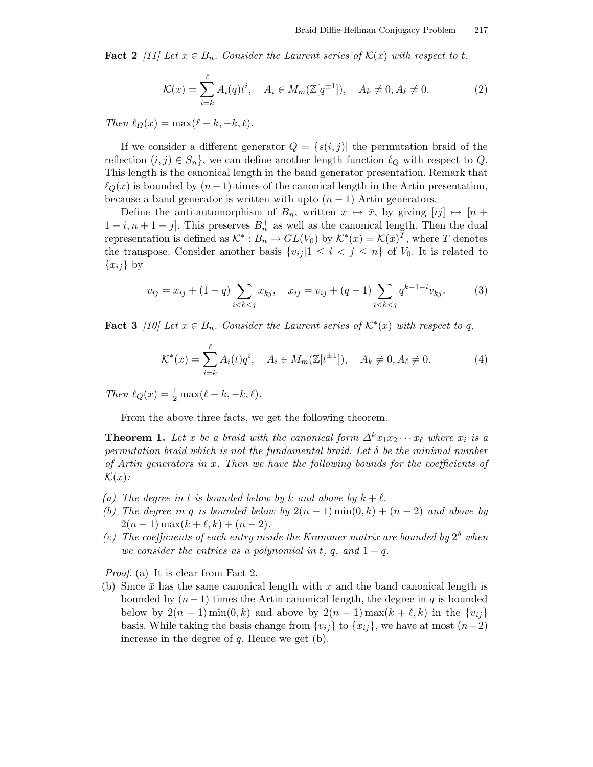**Fact 2** [11] Let  $x \in B_n$ . Consider the Laurent series of  $\mathcal{K}(x)$  with respect to t,

$$
\mathcal{K}(x) = \sum_{i=k}^{\ell} A_i(q) t^i, \quad A_i \in M_m(\mathbb{Z}[q^{\pm 1}]), \quad A_k \neq 0, A_{\ell} \neq 0.
$$
 (2)

Then  $\ell_{\Omega}(x) = \max(\ell - k, -k, \ell).$ 

If we consider a different generator  $Q = \{s(i, j)|$  the permutation braid of the reflection  $(i, j) \in S_n$ , we can define another length function  $\ell_Q$  with respect to Q. This length is the canonical length in the band generator presentation. Remark that  $\ell_{Q}(x)$  is bounded by  $(n-1)$ -times of the canonical length in the Artin presentation, because a band generator is written with upto  $(n-1)$  Artin generators.

Define the anti-automorphism of  $B_n$ , written  $x \mapsto \bar{x}$ , by giving  $[ij] \mapsto [n +$  $1-i, n+1-j$ . This preserves  $B_n^+$  as well as the canonical length. Then the dual representation is defined as  $K^*: B_n \to GL(V_0)$  by  $K^*(x) = \mathcal{K}(\bar{x})^T$ , where T denotes the transpose. Consider another basis  $\{v_{ij} | 1 \leq i \leq j \leq n\}$  of  $V_0$ . It is related to  ${x_{ij}}$  by

$$
v_{ij} = x_{ij} + (1 - q) \sum_{i < k < j} x_{kj}, \quad x_{ij} = v_{ij} + (q - 1) \sum_{i < k < j} q^{k - 1 - i} v_{kj}.\tag{3}
$$

**Fact 3** [10] Let  $x \in B_n$ . Consider the Laurent series of  $\mathcal{K}^*(x)$  with respect to q,

$$
\mathcal{K}^*(x) = \sum_{i=k}^{\ell} A_i(t) q^i, \quad A_i \in M_m(\mathbb{Z}[t^{\pm 1}]), \quad A_k \neq 0, A_{\ell} \neq 0. \tag{4}
$$

Then  $\ell_Q(x) = \frac{1}{2} \max(\ell - k, -k, \ell).$ 

From the above three facts, we get the following theorem.

**Theorem 1.** Let x be a braid with the canonical form  $\Delta^k x_1 x_2 \cdots x_\ell$  where  $x_i$  is a permutation braid which is not the fundamental braid. Let  $\delta$  be the minimal number of Artin generators in  $x$ . Then we have the following bounds for the coefficients of  $\mathcal{K}(x)$ :

- (a) The degree in t is bounded below by k and above by  $k + \ell$ .
- (b) The degree in q is bounded below by  $2(n-1)\min(0,k) + (n-2)$  and above by  $2(n - 1) \max(k + \ell, k) + (n - 2).$
- (c) The coefficients of each entry inside the Krammer matrix are bounded by  $2^{\delta}$  when we consider the entries as a polynomial in t, q, and  $1 - q$ .

Proof. (a) It is clear from Fact 2.

(b) Since  $\bar{x}$  has the same canonical length with x and the band canonical length is bounded by  $(n-1)$  times the Artin canonical length, the degree in q is bounded below by  $2(n-1) \min(0, k)$  and above by  $2(n-1) \max(k + \ell, k)$  in the  $\{v_{ii}\}\$ basis. While taking the basis change from  $\{v_{ij}\}\$  to  $\{x_{ij}\}\$ , we have at most  $(n-2)$ increase in the degree of  $q$ . Hence we get  $(b)$ .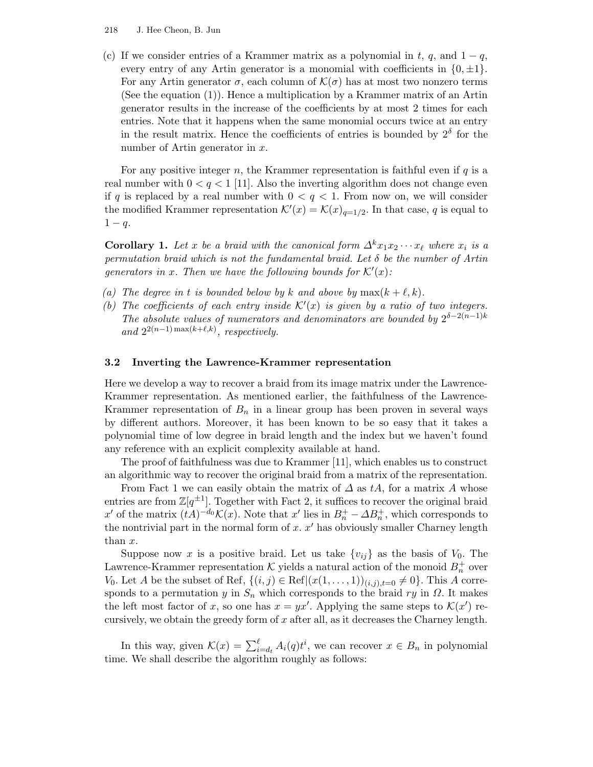#### 218 J. Hee Cheon, B. Jun

(c) If we consider entries of a Krammer matrix as a polynomial in t, q, and  $1 - q$ , every entry of any Artin generator is a monomial with coefficients in  $\{0, \pm 1\}$ . For any Artin generator  $\sigma$ , each column of  $\mathcal{K}(\sigma)$  has at most two nonzero terms (See the equation (1)). Hence a multiplication by a Krammer matrix of an Artin generator results in the increase of the coefficients by at most 2 times for each entries. Note that it happens when the same monomial occurs twice at an entry in the result matrix. Hence the coefficients of entries is bounded by  $2^{\delta}$  for the number of Artin generator in  $x$ .

For any positive integer n, the Krammer representation is faithful even if  $q$  is a real number with  $0 < q < 1$  [11]. Also the inverting algorithm does not change even if q is replaced by a real number with  $0 < q < 1$ . From now on, we will consider the modified Krammer representation  $\mathcal{K}'(x) = \mathcal{K}(x)_{q=1/2}$ . In that case, q is equal to  $1 - q$ .

**Corollary 1.** Let x be a braid with the canonical form  $\Delta^k x_1 x_2 \cdots x_\ell$  where  $x_i$  is a permutation braid which is not the fundamental braid. Let  $\delta$  be the number of Artin generators in x. Then we have the following bounds for  $\mathcal{K}'(x)$ :

- (a) The degree in t is bounded below by k and above by  $\max(k + \ell, k)$ .
- (b) The coefficients of each entry inside  $K'(x)$  is given by a ratio of two integers. The absolute values of numerators and denominators are bounded by  $2^{\delta-2(n-1)k}$ and  $2^{2(n-1)\max(k+\ell,k)}$ , respectively.

#### 3.2 Inverting the Lawrence-Krammer representation

Here we develop a way to recover a braid from its image matrix under the Lawrence-Krammer representation. As mentioned earlier, the faithfulness of the Lawrence-Krammer representation of  $B_n$  in a linear group has been proven in several ways by different authors. Moreover, it has been known to be so easy that it takes a polynomial time of low degree in braid length and the index but we haven't found any reference with an explicit complexity available at hand.

The proof of faithfulness was due to Krammer [11], which enables us to construct an algorithmic way to recover the original braid from a matrix of the representation.

From Fact 1 we can easily obtain the matrix of  $\Delta$  as tA, for a matrix A whose entries are from  $\mathbb{Z}[q^{\pm 1}]$ . Together with Fact 2, it suffices to recover the original braid x' of the matrix  $(tA)^{-d_0} \mathcal{K}(x)$ . Note that x' lies in  $B_n^+ - \Delta B_n^+$ , which corresponds to the nontrivial part in the normal form of  $x$ .  $x'$  has obviously smaller Charney length than x.

Suppose now x is a positive braid. Let us take  $\{v_{ij}\}\$ as the basis of  $V_0$ . The Lawrence-Krammer representation  $K$  yields a natural action of the monoid  $B_n^+$  over V<sub>0</sub>. Let A be the subset of Ref,  $\{(i, j) \in \text{Ref} | (x(1, \ldots, 1))_{(i,j), t=0} \neq 0\}$ . This A corresponds to a permutation y in  $S_n$  which corresponds to the braid ry in  $\Omega$ . It makes the left most factor of x, so one has  $x = yx'$ . Applying the same steps to  $\mathcal{K}(x')$  recursively, we obtain the greedy form of  $x$  after all, as it decreases the Charney length.

In this way, given  $\mathcal{K}(x) = \sum_{i=d_t}^{\ell} A_i(q) t^i$ , we can recover  $x \in B_n$  in polynomial time. We shall describe the algorithm roughly as follows: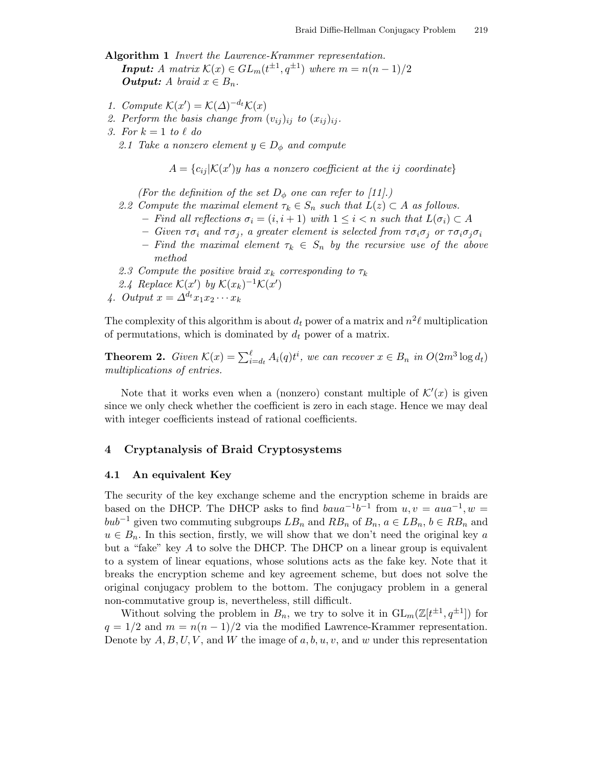Algorithm 1 *Invert the Lawrence-Krammer representation*. **Input:** A matrix  $\mathcal{K}(x) \in GL_m(t^{\pm 1}, q^{\pm 1})$  where  $m = n(n-1)/2$ **Output:** A braid  $x \in B_n$ .

- 1. Compute  $\mathcal{K}(x') = \mathcal{K}(\Delta)^{-d_t} \mathcal{K}(x)$
- 2. Perform the basis change from  $(v_{ij})_{ij}$  to  $(x_{ij})_{ij}$ .
- 3. For  $k = 1$  to  $\ell$  do
	- 2.1 Take a nonzero element  $y \in D_{\phi}$  and compute

 $A = \{c_{ij} | \mathcal{K}(x')y \text{ has a nonzero coefficient at the } ij \text{ coordinate}\}\$ 

(For the definition of the set  $D_{\phi}$  one can refer to [11].)

- 2.2 Compute the maximal element  $\tau_k \in S_n$  such that  $L(z) \subset A$  as follows.
	- Find all reflections  $\sigma_i = (i, i + 1)$  with  $1 \leq i < n$  such that  $L(\sigma_i) \subset A$
	- Given  $\tau \sigma_i$  and  $\tau \sigma_j$ , a greater element is selected from  $\tau \sigma_i \sigma_j$  or  $\tau \sigma_i \sigma_j \sigma_i$
	- Find the maximal element  $\tau_k \in S_n$  by the recursive use of the above method
- 2.3 Compute the positive braid  $x_k$  corresponding to  $\tau_k$
- 2.4 Replace  $\mathcal{K}(x')$  by  $\mathcal{K}(x_k)^{-1}\mathcal{K}(x')$
- 4. Output  $x = \Delta^{d_t} x_1 x_2 \cdots x_k$

The complexity of this algorithm is about  $d_t$  power of a matrix and  $n^2\ell$  multiplication of permutations, which is dominated by  $d_t$  power of a matrix.

**Theorem 2.** Given  $\mathcal{K}(x) = \sum_{i=d_t}^{\ell} A_i(q) t^i$ , we can recover  $x \in B_n$  in  $O(2m^3 \log d_t)$ multiplications of entries.

Note that it works even when a (nonzero) constant multiple of  $\mathcal{K}'(x)$  is given since we only check whether the coefficient is zero in each stage. Hence we may deal with integer coefficients instead of rational coefficients.

## 4 Cryptanalysis of Braid Cryptosystems

#### 4.1 An equivalent Key

The security of the key exchange scheme and the encryption scheme in braids are based on the DHCP. The DHCP asks to find  $baua^{-1}b^{-1}$  from  $u, v = aua^{-1}, w =$  $bub^{-1}$  given two commuting subgroups  $LB_n$  and  $RB_n$  of  $B_n$ ,  $a \in LB_n$ ,  $b \in RB_n$  and  $u \in B_n$ . In this section, firstly, we will show that we don't need the original key a but a "fake" key  $A$  to solve the DHCP. The DHCP on a linear group is equivalent to a system of linear equations, whose solutions acts as the fake key. Note that it breaks the encryption scheme and key agreement scheme, but does not solve the original conjugacy problem to the bottom. The conjugacy problem in a general non-commutative group is, nevertheless, still difficult.

Without solving the problem in  $B_n$ , we try to solve it in  $GL_m(\mathbb{Z}[t^{\pm 1}, q^{\pm 1}])$  for  $q = 1/2$  and  $m = n(n-1)/2$  via the modified Lawrence-Krammer representation. Denote by  $A, B, U, V$ , and W the image of  $a, b, u, v$ , and w under this representation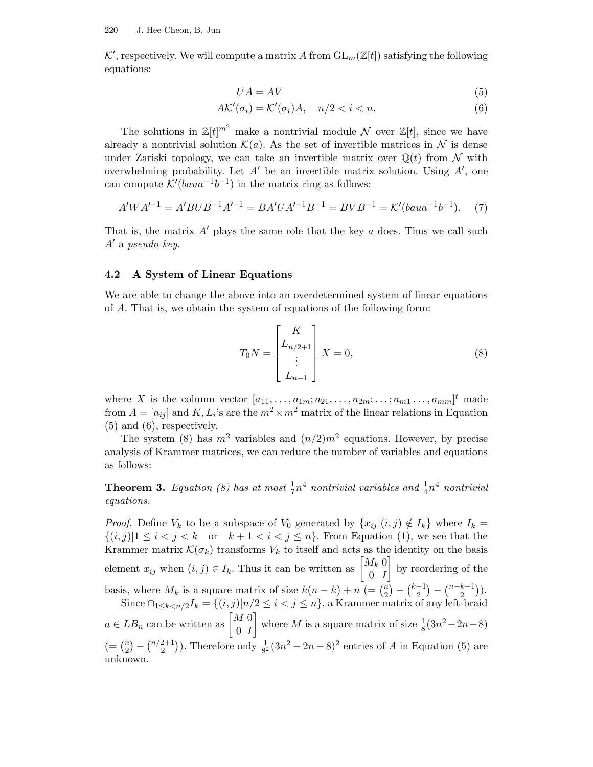$K'$ , respectively. We will compute a matrix A from  $GL_m(\mathbb{Z}[t])$  satisfying the following equations:

$$
UA = AV \tag{5}
$$

$$
A\mathcal{K}'(\sigma_i) = \mathcal{K}'(\sigma_i)A, \quad n/2 < i < n. \tag{6}
$$

The solutions in  $\mathbb{Z}[t]^{m^2}$  make a nontrivial module  $\mathcal N$  over  $\mathbb{Z}[t]$ , since we have already a nontrivial solution  $\mathcal{K}(a)$ . As the set of invertible matrices in  $\mathcal N$  is dense under Zariski topology, we can take an invertible matrix over  $\mathbb{Q}(t)$  from N with overwhelming probability. Let  $A'$  be an invertible matrix solution. Using  $A'$ , one can compute  $\mathcal{K}'(baua^{-1}b^{-1})$  in the matrix ring as follows:

$$
A'WA'^{-1} = A'BUB^{-1}A'^{-1} = BA'UA'^{-1}B^{-1} = BVB^{-1} = \mathcal{K}'(baua^{-1}b^{-1}).
$$
 (7)

That is, the matrix  $A'$  plays the same role that the key a does. Thus we call such  $A'$  a pseudo-key.

#### 4.2 A System of Linear Equations

We are able to change the above into an overdetermined system of linear equations of A. That is, we obtain the system of equations of the following form:

$$
T_0 N = \begin{bmatrix} K \\ L_{n/2+1} \\ \vdots \\ L_{n-1} \end{bmatrix} X = 0,
$$
 (8)

where X is the column vector  $[a_{11}, \ldots, a_{1m}; a_{21}, \ldots, a_{2m}; \ldots; a_{m1} \ldots, a_{mm}]^t$  made from  $A = [a_{ij}]$  and  $K, L_i$ 's are the  $m^2 \times m^2$  matrix of the linear relations in Equation (5) and (6), respectively.

The system (8) has  $m^2$  variables and  $(n/2)m^2$  equations. However, by precise analysis of Krammer matrices, we can reduce the number of variables and equations as follows:

**Theorem 3.** Equation (8) has at most  $\frac{1}{7}n^4$  nontrivial variables and  $\frac{1}{4}n^4$  nontrivial equations.

*Proof.* Define  $V_k$  to be a subspace of  $V_0$  generated by  $\{x_{ij} | (i,j) \notin I_k\}$  where  $I_k =$  $\{(i,j)|1 \leq i < j < k \text{ or } k+1 < i < j \leq n\}.$  From Equation (1), we see that the Krammer matrix  $\mathcal{K}(\sigma_k)$  transforms  $V_k$  to itself and acts as the identity on the basis element  $x_{ij}$  when  $(i, j) \in I_k$ . Thus it can be written as  $\begin{bmatrix} M_k & 0 \\ 0 & I \end{bmatrix}$ 0 I ¸ by reordering of the basis, where  $M_k$  is a square matrix of size  $k(n-k) + n$  (=  $\binom{n}{2}$  $\binom{n}{2} - \binom{k-1}{2}$  $\binom{-1}{2} - \binom{n-k-1}{2}$  $\binom{k-1}{2}$ ). Since  $\bigcap_{1 \leq k < n/2} I_k = \{(i, j) | n/2 \leq i < j \leq n\}$ , a Krammer matrix of any left-braid  $a \in LB_n$  can be written as  $\begin{bmatrix} M & 0 \\ 0 & I \end{bmatrix}$ 0 I where M is a square matrix of size  $\frac{1}{8}(3n^2-2n-8)$  $( = {n \choose 2}$  $\binom{n}{2} - \binom{n/2+1}{2}$  $\binom{2+1}{2}$ . Therefore only  $\frac{1}{8^2}(3n^2-2n-8)^2$  entries of A in Equation (5) are unknown.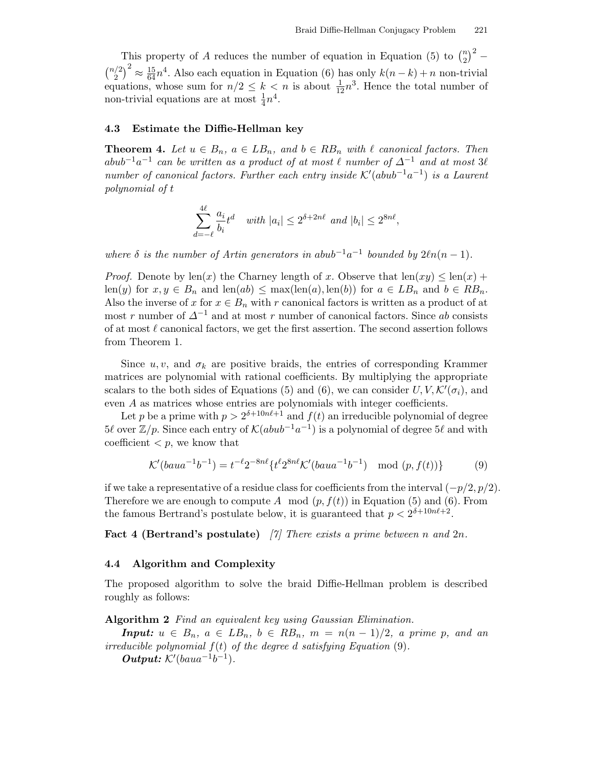This property of A reduces the number of equation in Equation (5) to  $\binom{n}{2}$  $\binom{n}{2}^2$  –  $\binom{n/2}{2}$  $\binom{2}{2}^2 \approx \frac{15}{64}n^4$ . Also each equation in Equation (6) has only  $k(n-k) + n$  non-trivial equations, whose sum for  $n/2 \leq k < n$  is about  $\frac{1}{12}n^3$ . Hence the total number of non-trivial equations are at most  $\frac{1}{4}n^4$ .

## 4.3 Estimate the Diffie-Hellman key

**Theorem 4.** Let  $u \in B_n$ ,  $a \in LB_n$ , and  $b \in RB_n$  with  $\ell$  canonical factors. Then  $a b u b^{-1} a^{-1}$  can be written as a product of at most  $\ell$  number of  $\Delta^{-1}$  and at most  $3\ell$ number of canonical factors. Further each entry inside  $\mathcal{K}'(abub^{-1}a^{-1})$  is a Laurent polynomial of t

$$
\sum_{d=-\ell}^{4\ell} \frac{a_i}{b_i} t^d \quad \text{with } |a_i| \le 2^{\delta+2n\ell} \text{ and } |b_i| \le 2^{8n\ell},
$$

where  $\delta$  is the number of Artin generators in abub<sup>-1</sup>a<sup>-1</sup> bounded by  $2\ell n(n-1)$ .

*Proof.* Denote by  $len(x)$  the Charney length of x. Observe that  $len(xy) \leq len(x)$  + len(y) for  $x, y \in B_n$  and len(ab)  $\leq$  max(len(a), len(b)) for  $a \in LB_n$  and  $b \in RB_n$ . Also the inverse of x for  $x \in B_n$  with r canonical factors is written as a product of at most r number of  $\Delta^{-1}$  and at most r number of canonical factors. Since ab consists of at most  $\ell$  canonical factors, we get the first assertion. The second assertion follows from Theorem 1.

Since u, v, and  $\sigma_k$  are positive braids, the entries of corresponding Krammer matrices are polynomial with rational coefficients. By multiplying the appropriate scalars to the both sides of Equations (5) and (6), we can consider  $U, V, \mathcal{K}'(\sigma_i)$ , and even A as matrices whose entries are polynomials with integer coefficients.

Let p be a prime with  $p > 2^{\delta + 10n\ell + 1}$  and  $f(t)$  an irreducible polynomial of degree  $5\ell$  over  $\mathbb{Z}/p$ . Since each entry of  $\mathcal{K}(abub^{-1}a^{-1})$  is a polynomial of degree  $5\ell$  and with coefficient  $\langle p, w \rangle$  know that

$$
\mathcal{K}'(baua^{-1}b^{-1}) = t^{-\ell}2^{-8n\ell}\left\{t^{\ell}2^{8n\ell}\mathcal{K}'(baua^{-1}b^{-1})\mod(p,f(t))\right\} \tag{9}
$$

if we take a representative of a residue class for coefficients from the interval  $(-p/2, p/2)$ . Therefore we are enough to compute A mod  $(p, f(t))$  in Equation (5) and (6). From the famous Bertrand's postulate below, it is guaranteed that  $p < 2^{\delta + 10n\ell + 2}$ .

**Fact 4 (Bertrand's postulate)** [7] There exists a prime between n and  $2n$ .

#### 4.4 Algorithm and Complexity

The proposed algorithm to solve the braid Diffie-Hellman problem is described roughly as follows:

Algorithm 2 Find an equivalent key using Gaussian Elimination.

**Input:**  $u \in B_n$ ,  $a \in LB_n$ ,  $b \in RB_n$ ,  $m = n(n-1)/2$ , a prime p, and an irreducible polynomial  $f(t)$  of the degree d satisfying Equation (9). *Output:*  $K'(baua^{-1}b^{-1}).$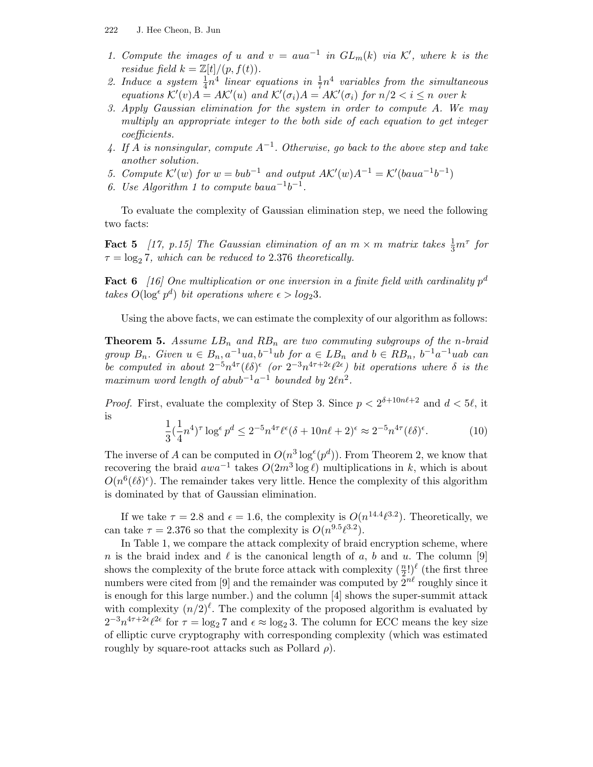- 1. Compute the images of u and  $v = a u a^{-1}$  in  $GL_m(k)$  via K', where k is the residue field  $k = \mathbb{Z}[t]/(p, f(t)).$
- 2. Induce a system  $\frac{1}{4}n^4$  linear equations in  $\frac{1}{7}n^4$  variables from the simultaneous equations  $\mathcal{K}'(v)A = A\mathcal{K}'(u)$  and  $\mathcal{K}'(\sigma_i)A = A\mathcal{K}'(\sigma_i)$  for  $n/2 < i \leq n$  over k
- 3. Apply Gaussian elimination for the system in order to compute A. We may multiply an appropriate integer to the both side of each equation to get integer coefficients.
- 4. If A is nonsingular, compute  $A^{-1}$ . Otherwise, go back to the above step and take another solution.
- 5. Compute  $\mathcal{K}'(w)$  for  $w = bub^{-1}$  and output  $\mathcal{AK}'(w)A^{-1} = \mathcal{K}'(baua^{-1}b^{-1})$
- 6. Use Algorithm 1 to compute bau $a^{-1}b^{-1}$ .

To evaluate the complexity of Gaussian elimination step, we need the following two facts:

**Fact 5** [17, p.15] The Gaussian elimination of an  $m \times m$  matrix takes  $\frac{1}{3}m^{\tau}$  for  $\tau = \log_2 7$ , which can be reduced to 2.376 theoretically.

**Fact 6** [16] One multiplication or one inversion in a finite field with cardinality  $p^d$ takes  $O(\log^{\epsilon} p^d)$  bit operations where  $\epsilon > log_2 3$ .

Using the above facts, we can estimate the complexity of our algorithm as follows:

**Theorem 5.** Assume  $LB_n$  and  $RB_n$  are two commuting subgroups of the n-braid group  $B_n$ . Given  $u \in B_n$ ,  $a^{-1}ua$ ,  $b^{-1}ub$  for  $a \in LB_n$  and  $b \in RB_n$ ,  $b^{-1}a^{-1}uab$  can be computed in about  $2^{-5}n^{4\tau}(\ell\delta)^{\epsilon}$  (or  $2^{-3}n^{4\tau+2\epsilon}\ell^{2\epsilon}$ ) bit operations where  $\delta$  is the maximum word length of abub<sup>-1</sup>a<sup>-1</sup> bounded by  $2\ell n^2$ .

*Proof.* First, evaluate the complexity of Step 3. Since  $p < 2^{\delta+10n\ell+2}$  and  $d < 5\ell$ , it is

$$
\frac{1}{3}(\frac{1}{4}n^4)^\tau \log^\epsilon p^d \le 2^{-5} n^{4\tau} \ell^\epsilon (\delta + 10n\ell + 2)^\epsilon \approx 2^{-5} n^{4\tau} (\ell \delta)^\epsilon. \tag{10}
$$

The inverse of A can be computed in  $O(n^3 \log^{\epsilon}(p^d))$ . From Theorem 2, we know that recovering the braid  $awa^{-1}$  takes  $O(2m^3 \log \ell)$  multiplications in k, which is about  $O(n^6(\ell\delta)^{\epsilon})$ . The remainder takes very little. Hence the complexity of this algorithm is dominated by that of Gaussian elimination.

If we take  $\tau = 2.8$  and  $\epsilon = 1.6$ , the complexity is  $O(n^{14.4}\ell^{3.2})$ . Theoretically, we can take  $\tau = 2.376$  so that the complexity is  $O(n^{9.5}\ell^{3.2})$ .

In Table 1, we compare the attack complexity of braid encryption scheme, where n is the braid index and  $\ell$  is the canonical length of a, b and u. The column [9] shows the complexity of the brute force attack with complexity  $(\frac{n}{2})$  $(\frac{n}{2}!)^{\ell}$  (the first three numbers were cited from [9] and the remainder was computed by  $2^{n\ell}$  roughly since it is enough for this large number.) and the column [4] shows the super-summit attack with complexity  $(n/2)^{\ell}$ . The complexity of the proposed algorithm is evaluated by  $2^{-3}n^{4\tau+2\epsilon}\ell^{2\epsilon}$  for  $\tau = \log_2 7$  and  $\epsilon \approx \log_2 3$ . The column for ECC means the key size of elliptic curve cryptography with corresponding complexity (which was estimated roughly by square-root attacks such as Pollard  $\rho$ ).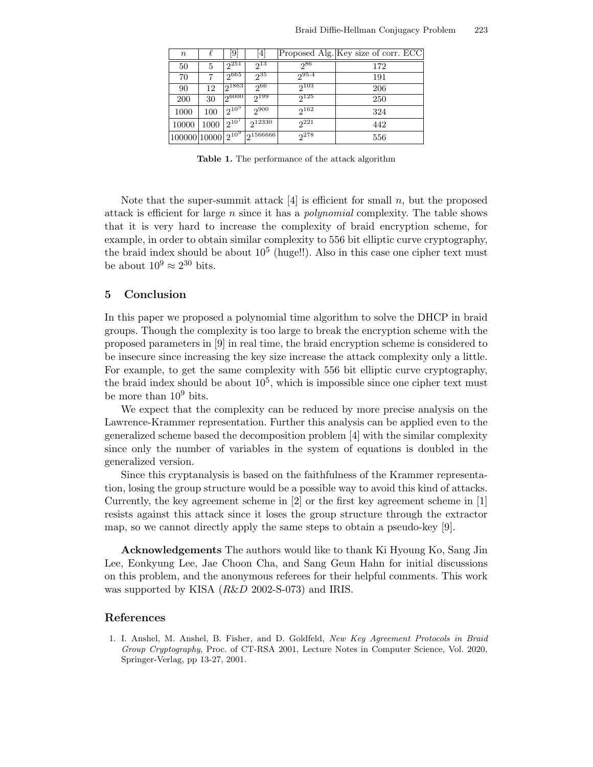| $\boldsymbol{n}$ |      | [9]         | $\lceil 4 \rceil$               |            | Proposed Alg. Key size of corr. ECC |
|------------------|------|-------------|---------------------------------|------------|-------------------------------------|
| 50               | 5    | $2^{251}$   | $2^{13}$                        | ე86        | 172                                 |
| 70               |      | $2^{665}$   | $2^{35}$                        | $2^{95.4}$ | 191                                 |
| 90               | 12   | 21863       | -ე66                            | $2^{103}$  | 206                                 |
| 200              | 30   | 26000       | $2^{199}$                       | $2^{125}$  | 250                                 |
| 1000             | 100  | $12^{10^5}$ | $2^{900}$                       | $2^{162}$  | 324                                 |
| 10000            | 1000 | $2^{10'}$   | $2^{12330}$                     | $2^{221}$  | 442                                 |
| 100000 10000     |      |             | $2^{10^9}$ 2 <sup>1566666</sup> | 278        | 556                                 |

Table 1. The performance of the attack algorithm

Note that the super-summit attack  $[4]$  is efficient for small n, but the proposed attack is efficient for large n since it has a *polynomial* complexity. The table shows that it is very hard to increase the complexity of braid encryption scheme, for example, in order to obtain similar complexity to 556 bit elliptic curve cryptography, the braid index should be about  $10^5$  (huge!!). Also in this case one cipher text must be about  $10^9 \approx 2^{30}$  bits.

## 5 Conclusion

In this paper we proposed a polynomial time algorithm to solve the DHCP in braid groups. Though the complexity is too large to break the encryption scheme with the proposed parameters in [9] in real time, the braid encryption scheme is considered to be insecure since increasing the key size increase the attack complexity only a little. For example, to get the same complexity with 556 bit elliptic curve cryptography, the braid index should be about  $10^5$ , which is impossible since one cipher text must be more than 10<sup>9</sup> bits.

We expect that the complexity can be reduced by more precise analysis on the Lawrence-Krammer representation. Further this analysis can be applied even to the generalized scheme based the decomposition problem [4] with the similar complexity since only the number of variables in the system of equations is doubled in the generalized version.

Since this cryptanalysis is based on the faithfulness of the Krammer representation, losing the group structure would be a possible way to avoid this kind of attacks. Currently, the key agreement scheme in [2] or the first key agreement scheme in [1] resists against this attack since it loses the group structure through the extractor map, so we cannot directly apply the same steps to obtain a pseudo-key [9].

Acknowledgements The authors would like to thank Ki Hyoung Ko, Sang Jin Lee, Eonkyung Lee, Jae Choon Cha, and Sang Geun Hahn for initial discussions on this problem, and the anonymous referees for their helpful comments. This work was supported by KISA (R&D 2002-S-073) and IRIS.

## References

1. I. Anshel, M. Anshel, B. Fisher, and D. Goldfeld, New Key Agreement Protocols in Braid Group Cryptography, Proc. of CT-RSA 2001, Lecture Notes in Computer Science, Vol. 2020, Springer-Verlag, pp 13-27, 2001.